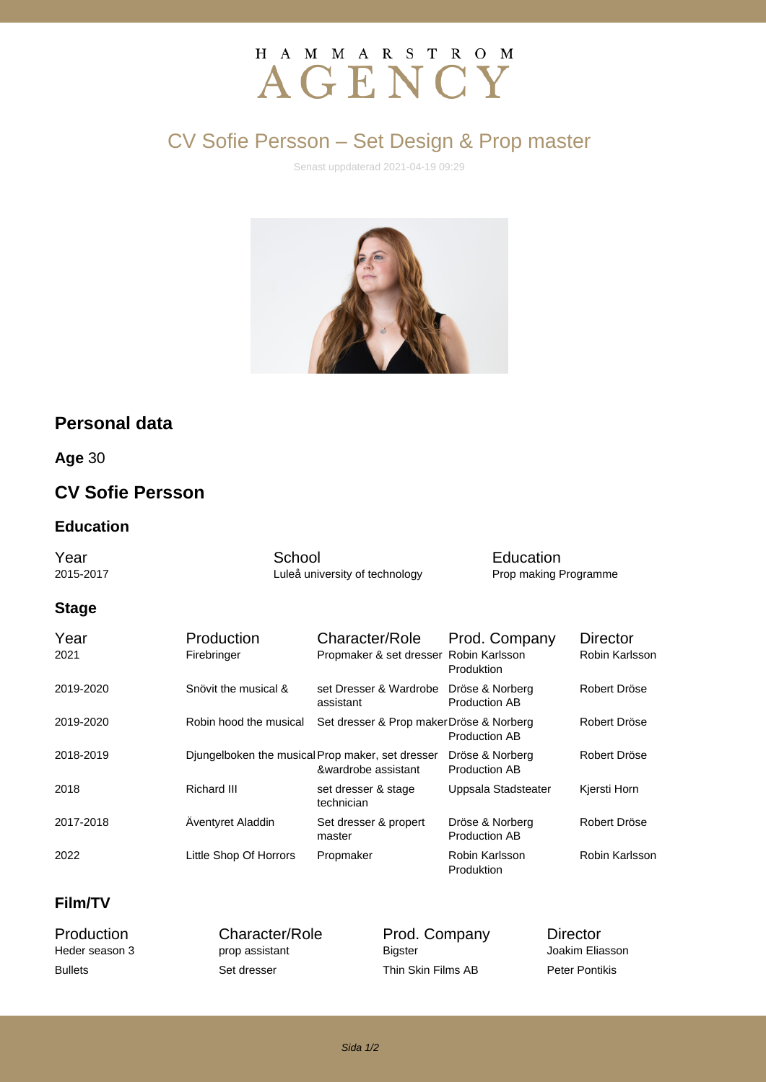# H A M M A R S T R O M AGENCY

# CV Sofie Persson – Set Design & Prop master

Senast uppdaterad 2021-04-19 09:29



# **Personal data**

**Age** 30

## **CV Sofie Persson**

#### **Education**

**Year** Car School School Education<br>
2015-2017 Luleå university of technology Prop making F Luleå university of technology Prop making Programme

#### **Stage**

| Year<br>2021 | Production<br>Firebringer                        | Character/Role<br>Propmaker & set dresser Robin Karlsson | Prod. Company<br>Produktion             | <b>Director</b><br>Robin Karlsson |
|--------------|--------------------------------------------------|----------------------------------------------------------|-----------------------------------------|-----------------------------------|
| 2019-2020    | Snövit the musical &                             | set Dresser & Wardrobe<br>assistant                      | Dröse & Norberg<br><b>Production AB</b> | Robert Dröse                      |
| 2019-2020    | Robin hood the musical                           | Set dresser & Prop maker Dröse & Norberg                 | <b>Production AB</b>                    | Robert Dröse                      |
| 2018-2019    | Djungelboken the musical Prop maker, set dresser | &wardrobe assistant                                      | Dröse & Norberg<br><b>Production AB</b> | Robert Dröse                      |
| 2018         | Richard III                                      | set dresser & stage<br>technician                        | Uppsala Stadsteater                     | Kjersti Horn                      |
| 2017-2018    | Äventyret Aladdin                                | Set dresser & propert<br>master                          | Dröse & Norberg<br><b>Production AB</b> | Robert Dröse                      |
| 2022         | Little Shop Of Horrors                           | Propmaker                                                | Robin Karlsson<br><b>Produktion</b>     | Robin Karlsson                    |

#### **Film/TV**

prop assistant

Production Character/Role Prod. Company Director<br>
Heder season 3 prop assistant Bigster Bigster Joakim Eliasson Bullets Set dresser Thin Skin Films AB Peter Pontikis